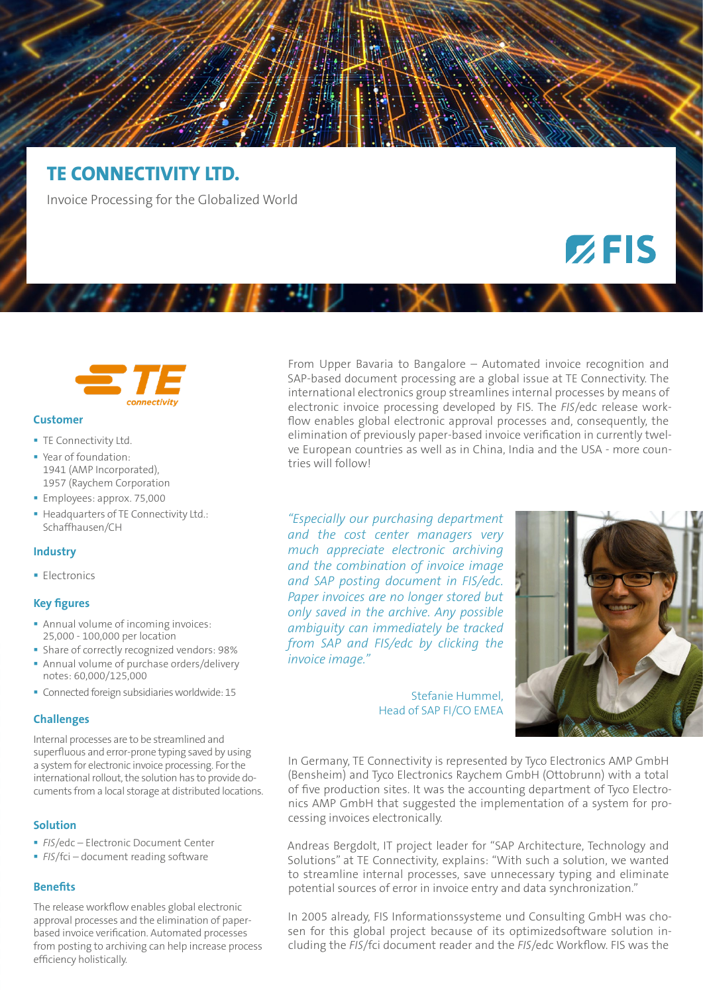# **TE CONNECTIVITY LTD.**

Invoice Processing for the Globalized World

# connectivity

#### **Customer**

- **TE Connectivity Ltd.**
- Year of foundation: 1941 (AMP Incorporated), 1957 (Raychem Corporation
- **Employees: approx. 75,000**
- Headquarters of TE Connectivity Ltd.: Schaffhausen/CH

#### **Industry**

**Electronics** 

#### **Key figures**

- **Annual volume of incoming invoices:** 25,000 - 100,000 per location
- **Share of correctly recognized vendors: 98%**
- Annual volume of purchase orders/delivery notes: 60,000/125,000
- Connected foreign subsidiaries worldwide: 15

### **Challenges**

Internal processes are to be streamlined and superfluous and error-prone typing saved by using a system for electronic invoice processing. For the international rollout, the solution has to provide documents from a local storage at distributed locations.

# **Solution**

- *FIS*/edc Electronic Document Center
- **FIS**/fci document reading software

### **Benefits**

The release workflow enables global electronic approval processes and the elimination of paperbased invoice verification. Automated processes from posting to archiving can help increase process efficiency holistically.

From Upper Bavaria to Bangalore – Automated invoice recognition and SAP-based document processing are a global issue at TE Connectivity. The international electronics group streamlines internal processes by means of electronic invoice processing developed by FIS. The *FIS*/edc release workflow enables global electronic approval processes and, consequently, the elimination of previously paper-based invoice verification in currently twelve European countries as well as in China, India and the USA - more countries will follow!

*"Especially our purchasing department and the cost center managers very much appreciate electronic archiving and the combination of invoice image and SAP posting document in FIS/edc. Paper invoices are no longer stored but only saved in the archive. Any possible ambiguity can immediately be tracked from SAP and FIS/edc by clicking the invoice image."* 



 $Z$ FIS

Stefanie Hummel, Head of SAP FI/CO EMEA

In Germany, TE Connectivity is represented by Tyco Electronics AMP GmbH (Bensheim) and Tyco Electronics Raychem GmbH (Ottobrunn) with a total of five production sites. It was the accounting department of Tyco Electronics AMP GmbH that suggested the implementation of a system for processing invoices electronically.

Andreas Bergdolt, IT project leader for "SAP Architecture, Technology and Solutions" at TE Connectivity, explains: "With such a solution, we wanted to streamline internal processes, save unnecessary typing and eliminate potential sources of error in invoice entry and data synchronization."

In 2005 already, FIS Informationssysteme und Consulting GmbH was chosen for this global project because of its optimizedsoftware solution including the *FIS*/fci document reader and the *FIS*/edc Workflow. FIS was the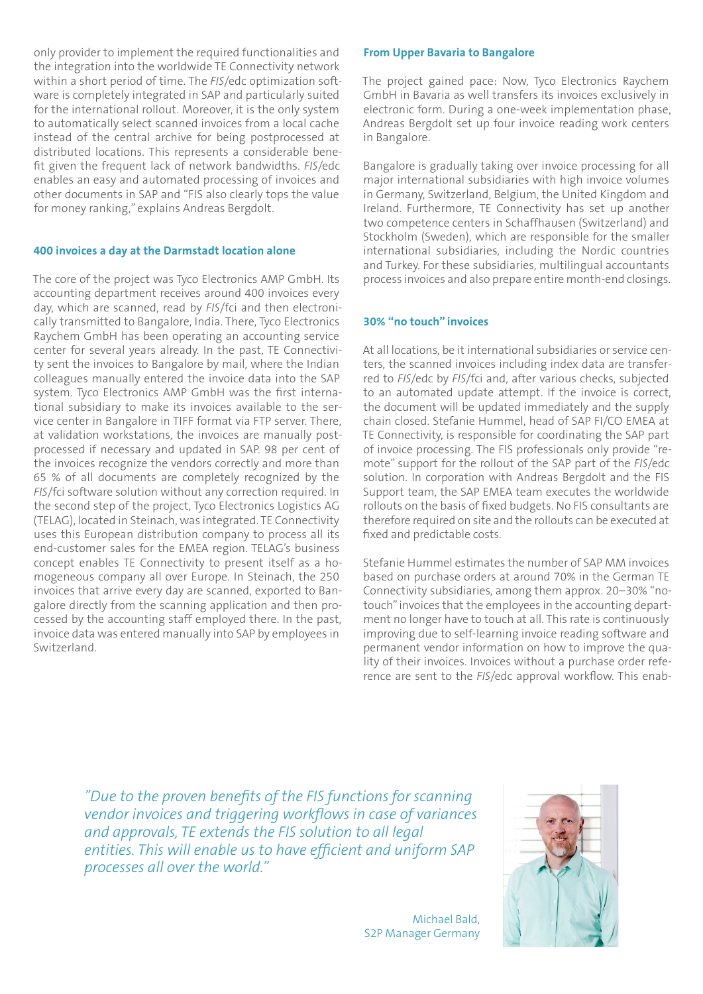only provider to implement the required functionalities and the integration into the worldwide TE Connectivity network within a short period of time. The *FIS*/edc optimization software is completely integrated in SAP and particularly suited for the international rollout. Moreover, it is the only system to automatically select scanned invoices from a local cache instead of the central archive for being postprocessed at distributed locations. This represents a considerable benefit given the frequent lack of network bandwidths. *FIS*/edc enables an easy and automated processing of invoices and other documents in SAP and "FIS also clearly tops the value for money ranking," explains Andreas Bergdolt.

## **400 invoices a day at the Darmstadt location alone**

The core of the project was Tyco Electronics AMP GmbH. Its accounting department receives around 400 invoices every day, which are scanned, read by *FIS*/fci and then electronically transmitted to Bangalore, India. There, Tyco Electronics Raychem GmbH has been operating an accounting service center for several years already. In the past, TE Connectivity sent the invoices to Bangalore by mail, where the Indian colleagues manually entered the invoice data into the SAP system. Tyco Electronics AMP GmbH was the first international subsidiary to make its invoices available to the service center in Bangalore in TIFF format via FTP server. There, at validation workstations, the invoices are manually postprocessed if necessary and updated in SAP. 98 per cent of the invoices recognize the vendors correctly and more than 65 % of all documents are completely recognized by the *FIS*/fci software solution without any correction required. In the second step of the project, Tyco Electronics Logistics AG (TELAG), located in Steinach, was integrated. TE Connectivity uses this European distribution company to process all its end-customer sales for the EMEA region. TELAG's business concept enables TE Connectivity to present itself as a homogeneous company all over Europe. In Steinach, the 250 invoices that arrive every day are scanned, exported to Bangalore directly from the scanning application and then processed by the accounting staff employed there. In the past, invoice data was entered manually into SAP by employees in Switzerland.

#### **From Upper Bavaria to Bangalore**

The project gained pace: Now, Tyco Electronics Raychem GmbH in Bavaria as well transfers its invoices exclusively in electronic form. During a one-week implementation phase, Andreas Bergdolt set up four invoice reading work centers in Bangalore.

Bangalore is gradually taking over invoice processing for all major international subsidiaries with high invoice volumes in Germany, Switzerland, Belgium, the United Kingdom and Ireland. Furthermore, TE Connectivity has set up another two competence centers in Schaffhausen (Switzerland) and Stockholm (Sweden), which are responsible for the smaller international subsidiaries, including the Nordic countries and Turkey. For these subsidiaries, multilingual accountants process invoices and also prepare entire month-end closings.

### **30% "no touch" invoices**

At all locations, be it international subsidiaries or service centers, the scanned invoices including index data are transferred to *FIS*/edc by *FIS*/fci and, after various checks, subjected to an automated update attempt. If the invoice is correct, the document will be updated immediately and the supply chain closed. Stefanie Hummel, head of SAP FI/CO EMEA at TE Connectivity, is responsible for coordinating the SAP part of invoice processing. The FIS professionals only provide "remote" support for the rollout of the SAP part of the *FIS*/edc solution. In corporation with Andreas Bergdolt and the FIS Support team, the SAP EMEA team executes the worldwide rollouts on the basis of fixed budgets. No FIS consultants are therefore required on site and the rollouts can be executed at fixed and predictable costs.

Stefanie Hummel estimates the number of SAP MM invoices based on purchase orders at around 70% in the German TE Connectivity subsidiaries, among them approx. 20–30% "notouch" invoices that the employees in the accounting department no longer have to touch at all. This rate is continuously improving due to self-learning invoice reading software and permanent vendor information on how to improve the quality of their invoices. Invoices without a purchase order reference are sent to the *FIS*/edc approval workflow. This enab-

*"Due to the proven benefits of the FIS functions for scanning vendor invoices and triggering workflows in case of variances and approvals, TE extends the FIS solution to all legal entities. This will enable us to have efficient and uniform SAP processes all over the world."* 

> Michael Bald, S2P Manager Germany

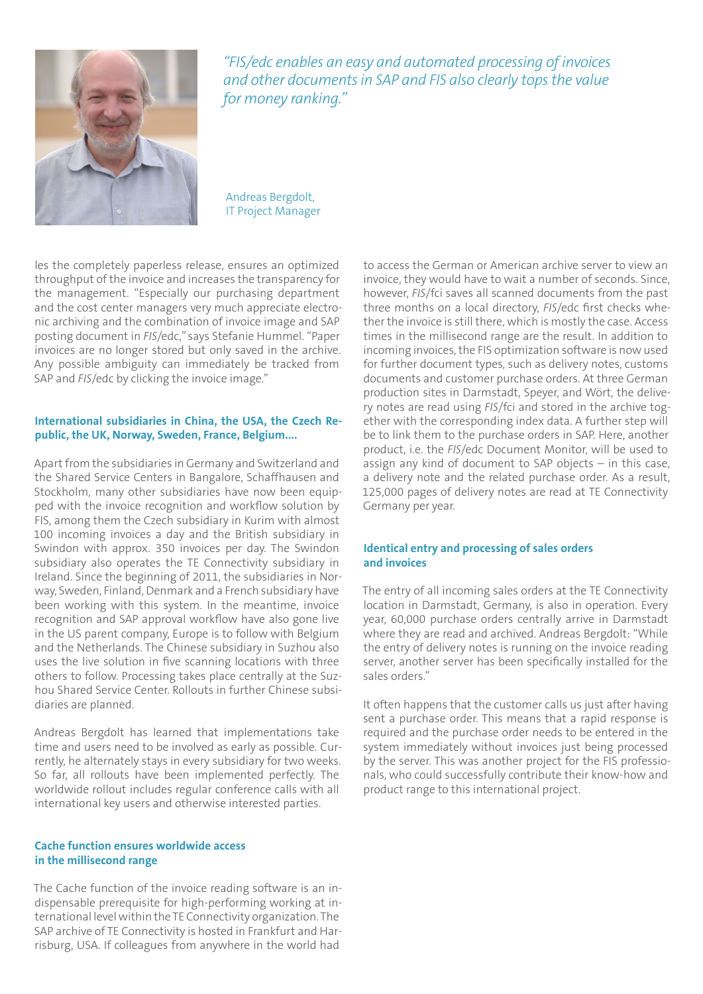

*"FIS/edc enables an easy and automated processing of invoices and other documents in SAP and FIS also clearly tops the value for money ranking."* 

Andreas Bergdolt, IT Project Manager

les the completely paperless release, ensures an optimized throughput of the invoice and increases the transparency for the management. "Especially our purchasing department and the cost center managers very much appreciate electronic archiving and the combination of invoice image and SAP posting document in *FIS*/edc," says Stefanie Hummel. "Paper invoices are no longer stored but only saved in the archive. Any possible ambiguity can immediately be tracked from SAP and *FIS*/edc by clicking the invoice image."

# **International subsidiaries in China, the USA, the Czech Republic, the UK, Norway, Sweden, France, Belgium....**

Apart from the subsidiaries in Germany and Switzerland and the Shared Service Centers in Bangalore, Schaffhausen and Stockholm, many other subsidiaries have now been equipped with the invoice recognition and workflow solution by FIS, among them the Czech subsidiary in Kurim with almost 100 incoming invoices a day and the British subsidiary in Swindon with approx. 350 invoices per day. The Swindon subsidiary also operates the TE Connectivity subsidiary in Ireland. Since the beginning of 2011, the subsidiaries in Norway, Sweden, Finland, Denmark and a French subsidiary have been working with this system. In the meantime, invoice recognition and SAP approval workflow have also gone live in the US parent company, Europe is to follow with Belgium and the Netherlands. The Chinese subsidiary in Suzhou also uses the live solution in five scanning locations with three others to follow. Processing takes place centrally at the Suzhou Shared Service Center. Rollouts in further Chinese subsidiaries are planned.

Andreas Bergdolt has learned that implementations take time and users need to be involved as early as possible. Currently, he alternately stays in every subsidiary for two weeks. So far, all rollouts have been implemented perfectly. The worldwide rollout includes regular conference calls with all international key users and otherwise interested parties.

# **Cache function ensures worldwide access in the millisecond range**

The Cache function of the invoice reading software is an indispensable prerequisite for high-performing working at international level within the TE Connectivity organization. The SAP archive of TE Connectivity is hosted in Frankfurt and Harrisburg, USA. If colleagues from anywhere in the world had

to access the German or American archive server to view an invoice, they would have to wait a number of seconds. Since, however, *FIS*/fci saves all scanned documents from the past three months on a local directory, *FIS*/edc first checks whether the invoice is still there, which is mostly the case. Access times in the millisecond range are the result. In addition to incoming invoices, the FIS optimization software is now used for further document types, such as delivery notes, customs documents and customer purchase orders. At three German production sites in Darmstadt, Speyer, and Wört, the delivery notes are read using *FIS*/fci and stored in the archive together with the corresponding index data. A further step will be to link them to the purchase orders in SAP. Here, another product, i.e. the *FIS*/edc Document Monitor, will be used to assign any kind of document to SAP objects – in this case, a delivery note and the related purchase order. As a result, 125,000 pages of delivery notes are read at TE Connectivity Germany per year.

# **Identical entry and processing of sales orders and invoices**

The entry of all incoming sales orders at the TE Connectivity location in Darmstadt, Germany, is also in operation. Every year, 60,000 purchase orders centrally arrive in Darmstadt where they are read and archived. Andreas Bergdolt: "While the entry of delivery notes is running on the invoice reading server, another server has been specifically installed for the sales orders."

It often happens that the customer calls us just after having sent a purchase order. This means that a rapid response is required and the purchase order needs to be entered in the system immediately without invoices just being processed by the server. This was another project for the FIS professionals, who could successfully contribute their know-how and product range to this international project.